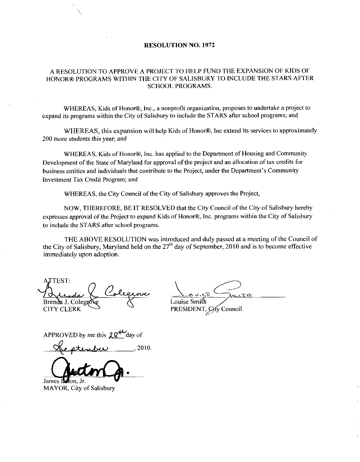## RESOLUTION NO. 1972

## A RESOLUTION TO APPROVE A PROJECT TO HELP FUND THE EXPANSION OF KIDS OF HONOR® PROGRAMS WITHIN THE CITY OF SALISBURY TO INCLUDE THE STARS AFTER SCHOOL PROGRAMS

WHEREAS, Kids of Honor®, Inc., a nonprofit organization, proposes to undertake a project to expand its programs within the City of Salisbury to include the STARS after school programs; and

WHEREAS, this expansion will help Kids of Honor®, Inc extend its services to approximately 200 more students this year; and

WHEREAS, Kids of Honor<sup>®</sup>, Inc. has applied to the Department of Housing and Community Development of the State of Maryland for approval of the project and an allocation of tax credits for<br>business entities and individuals that contribute to the Project, under the Department's Community expand its programs within the City of Salisbury to include the STARS after school programs; and<br>
WHEREAS, this expansion will help Kids of Honor®, lnc extend its services to approxi<br>
200 more students this year; and<br>
WHER Investment Tax Credit Program; and

WHEREAS, the City Council of the City of Salisbury approves the Project,

NOW, THEREFORE, BE IT RESOLVED that the City Council of the City of Salisbury hereby expresses approval of the Project to expand Kids of Honor®, Inc. programs within the City of Salisbury to include the STARS after school programs

THE ABOVE RESOLUTION was introduced and duly passed at a meeting of the Council of the City of Salisbury, Maryland held on the  $27<sup>th</sup>$  day of September, 2010 and is to become effective immediately upon adoption

**ATTEST:** isove Brenda J. Colegn CITY CLERK rende Colegione<br>Provente d'Alegione<br>PROVED by me this 28<sup>+1</sup> day of<br>Le ptendier 2010

<u>Louise Smith</u>

PRESIDENT, City Council

APPROVED by me this  $28^{44}$  day of

<u>y</u> James Incon. Jr.

MAYOR, City of Salisbury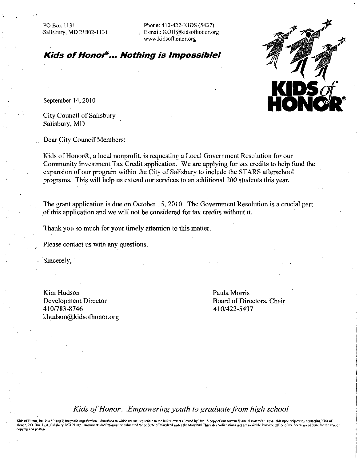PO Box 1131<br>
Phone: 410-422-KIDS (5437)<br>
Salisbury, MD 21802-1131 E-mail: KOH@kidsofhonor.o PO Box 1131<br>Salisbury, MD 21802-1131 Fe-mail: KOH@kidsofhonor.org<br>www.kidsofhonor.org<br>www.kidsofhonor.org Phone: 410-422-KIDS (5437)<br>E-mail: KOH@kidsofhonor.org<br>www.kidsofhonor.org

PO Box 1131<br>
Phone: 410-422-KIDS (5437)<br>
Salisbury, MD 21802-1131<br>
E-mail: KOH@kidsofhonor.org<br>
www.kidsofhonor.org<br> **Kids of Honor<sup>®</sup>... Nothing is Impossible!** 



September 14, 2010

City Council of Salisbury Salisbury, MD

Dear City Council Members:

Kids of Honor®, a local nonprofit, is requesting a Local Government Resolution for our Community Investment Tax Credit application. We are applying for tax credits to help fund the expansion of our program within the City of Salisbury to include the STARS afterschool programs. This will help us extend our services to an additional 200 students this year.

The grant application is due on October 15, 2010. The Government Resolution is a crucial part of this application and we will not be considered for tax credits without it.

Thank you so much for your timely attention to this matter.

Please contact us with any questions

Sincerely

Kim Hudson Development Director Niin riuason<br>Development<br>410/783-8746<br>khudson@kids  $410/783 - 8746$ <br>khudson@kidsofhonor.org Paula Morris Board of Directors, Chair<br>410/422-5437

Kids of Honor...Empowering youth to graduate from high school

.<br>Kids of Honor, Inc. is a 501(c)(3) nonprofit organization – donations to which are tax deductible to the fullest extent allowed by law. A copy of our current financial statement is available upon request by contacting Ki Honor, P.O. Box 1131, Salisbury, MD 21802. Documents and information submitted to the State of Maryland under the Maryland Charitable Solicitations Act are available from the Office of the Secret